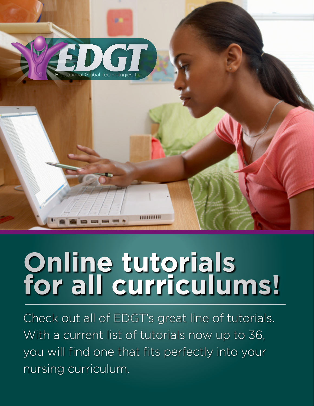

# **Online tutorials for all curriculums!**

Check out all of EDGT's great line of tutorials. With a current list of tutorials now up to 36, you will find one that fits perfectly into your nursing curriculum.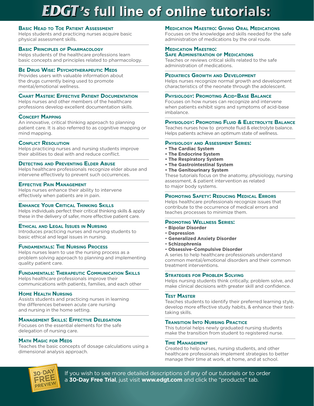# *'s* **full line of online tutorials:**

# **Basic Head to Toe Patient Assessment**

Helps students and practicing nurses acquire basic physical assessment skills.

# **Basic Principles of Pharmacology**

Helps students of the healthcare professions learn basic concepts and principles related to pharmacology.

# **Be Drug Wise: Psychotherapeutic Meds**

Provides users with valuable information about the drugs currently being used to promote mental/emotional wellness.

# **Chart Master: Effective Patient Documentation**

Helps nurses and other members of the healthcare professions develop excellent documentation skills.

# **Concept Mapping**

An innovative, critical thinking approach to planning patient care. It is also referred to as cognitive mapping or mind mapping.

# **Conflict Resolution**

Helps practicing nurses and nursing students improve their abilities to deal with and reduce conflict.

# **Detecting and Preventing Elder Abuse**

Helps healthcare professionals recognize elder abuse and intervene effectively to prevent such occurrences.

# **Effective Pain Management**

Helps nurses enhance their ability to intervene effectively when patients are in pain.

# **Enhance Your Critical Thinking Skills**

Helps individuals perfect their critical thinking skills & apply these in the delivery of safer, more effective patient care.

# **Ethical and Legal Issues in Nursing**

Introduces practicing nurses and nursing students to basic ethical and legal issues in nursing.

# **Fundamentals: The Nursing Process**

Helps nurses learn to use the nursing process as a problem solving approach to planning and implementing quality patient care.

# **Fundamentals: Therapeutic Communication Skills**

Helps healthcare professionals improve their communications with patients, families, and each other

# **Home Health Nursing**

Assists students and practicing nurses in learning the differences between acute care nursing and nursing in the home setting.

# **Management Skills: Effective Delegation**

Focuses on the essential elements for the safe delegation of nursing care.

# **Math Magic for Meds**

Teaches the basic concepts of dosage calculations using a dimensional analysis approach.

# **Medication Maestro: Giving Oral Medications**

Focuses on the knowledge and skills needed for the safe administration of medications by the oral route.

#### **Medication Maestro: Safe Administration of Medications**

Teaches or reviews critical skills related to the safe

administration of medications.

#### **Pediatrics Growth and Development**

Helps nurses recognize normal growth and development characteristics of the neonate through the adolescent.

#### **Physiology: Promoting Acid-Base Balance**

Focuses on how nurses can recognize and intervene when patients exhibit signs and symptoms of acid-base imbalance.

# **Physiology: Promoting Fluid & Electrolyte Balance**

Teaches nurses how to promote fluid & electrolyte balance. Helps patients achieve an optimum state of wellness.

#### **Physiology and Assessment Series:**

- **The Cardiac System**
- **The Endocrine System**
- **The Respiratory System**
- **The Gastrointestinal System**
- **The Genitourinary System**

These tutorials focus on the anatomy, physiology, nursing assessment, & patient intervention as related to major body systems.

# **Promoting Safety: Reducing Medical Errors**

Helps healthcare professionals recognize issues that contribute to the occurrence of medical errors and teaches processes to minimize them.

#### **Promoting Wellness Series:**

- **Bipolar Disorder**
- **Depression**
- **Generalized Anxiety Disorder**
- **Schizophrenia**
- **Obsessive-Compulsive Disorder**

A series to help healthcare professionals understand common mental/emotional disorders and their common treatment interventions.

#### **Strategies for Problem Solving**

Helps nursing students think critically, problem solve, and make clinical decisions with greater skill and confidence.

# **Test Master**

Teaches students to identify their preferred learning style, develop more effective study habits, & enhance their testtaking skills.

# **Transition Into Nursing Practice**

This tutorial helps newly graduated nursing students make the transition from student to registered nurse.

#### **Time Management**

Created to help nurses, nursing students, and other healthcare professionals implement strategies to better manage their time at work, at home, and at school.



If you wish to see more detailed descriptions of any of our tutorials or to order a **30-Day Free Trial**, just visit **www.edgt.com** and click the "products" tab.